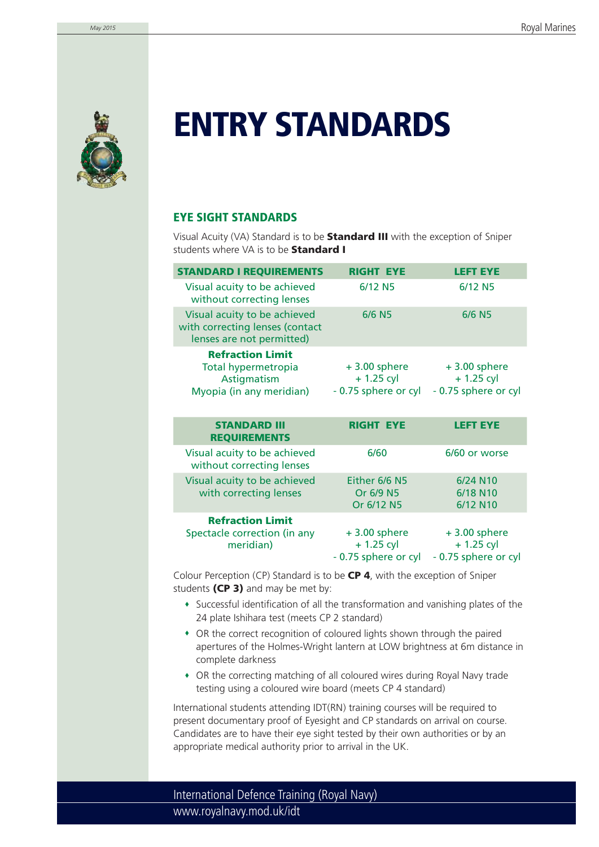

# **ENTRY STANDARDS**

# **EYE SIGHT STANDARDS**

Visual Acuity (VA) Standard is to be **Standard III** with the exception of Sniper students where VA is to be **Standard I**

| <b>STANDARD I REQUIREMENTS</b>                                                               | <b>RIGHT EYE</b>                                      | <b>LEFT EYE</b>                                       |
|----------------------------------------------------------------------------------------------|-------------------------------------------------------|-------------------------------------------------------|
| Visual acuity to be achieved<br>without correcting lenses                                    | 6/12 N <sub>5</sub>                                   | $6/12$ N <sub>5</sub>                                 |
| Visual acuity to be achieved<br>with correcting lenses (contact<br>lenses are not permitted) | 6/6 N <sub>5</sub>                                    | $6/6$ N <sub>5</sub>                                  |
| <b>Refraction Limit</b><br>Total hypermetropia<br>Astigmatism<br>Myopia (in any meridian)    | $+3.00$ sphere<br>$+1.25$ cyl<br>- 0.75 sphere or cyl | $+3.00$ sphere<br>$+1.25$ cyl<br>- 0.75 sphere or cyl |

| <b>STANDARD III</b><br><b>REQUIREMENTS</b>                           | <b>RIGHT EYE</b>                                      | <b>LEFT EYE</b>                                       |
|----------------------------------------------------------------------|-------------------------------------------------------|-------------------------------------------------------|
| Visual acuity to be achieved<br>without correcting lenses            | 6/60                                                  | 6/60 or worse                                         |
| Visual acuity to be achieved<br>with correcting lenses               | Either 6/6 N5<br>Or 6/9 N5<br>Or 6/12 N5              | 6/24 N10<br>6/18 N10<br>6/12 N10                      |
| <b>Refraction Limit</b><br>Spectacle correction (in any<br>meridian) | $+3.00$ sphere<br>$+1.25$ cyl<br>- 0.75 sphere or cyl | $+3.00$ sphere<br>$+1.25$ cyl<br>- 0.75 sphere or cyl |

Colour Perception (CP) Standard is to be **CP 4**, with the exception of Sniper students **(CP 3)** and may be met by:

- Successful identification of all the transformation and vanishing plates of the 24 plate Ishihara test (meets CP 2 standard)
- OR the correct recognition of coloured lights shown through the paired apertures of the Holmes-Wright lantern at LOW brightness at 6m distance in complete darkness
- OR the correcting matching of all coloured wires during Royal Navy trade testing using a coloured wire board (meets CP 4 standard)

International students attending IDT(RN) training courses will be required to present documentary proof of Eyesight and CP standards on arrival on course. Candidates are to have their eye sight tested by their own authorities or by an appropriate medical authority prior to arrival in the UK.

www.royalnavy.mod.uk/idt International Defence Training (Royal Navy)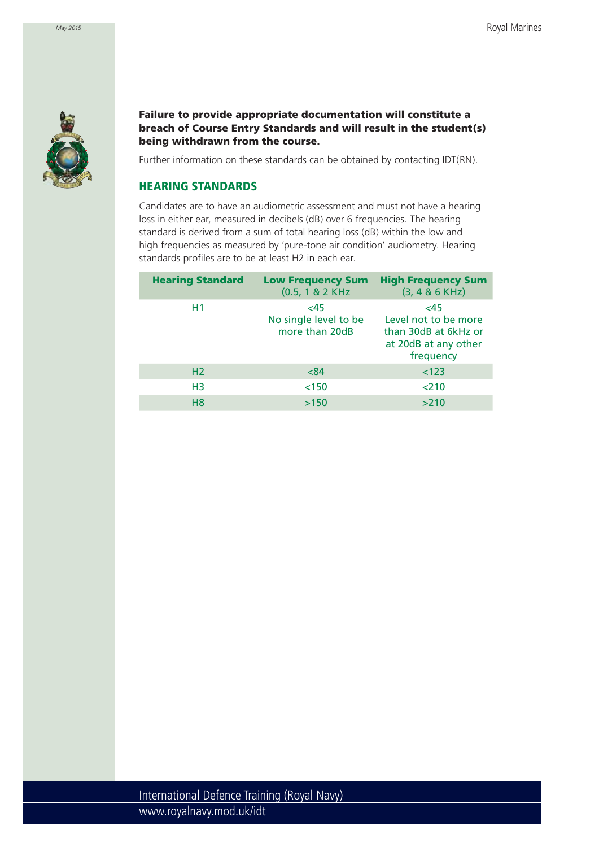

**Failure to provide appropriate documentation will constitute a breach of Course Entry Standards and will result in the student(s) being withdrawn from the course.** 

Further information on these standards can be obtained by contacting IDT(RN).

## **HEARING STANDARDS**

Candidates are to have an audiometric assessment and must not have a hearing loss in either ear, measured in decibels (dB) over 6 frequencies. The hearing standard is derived from a sum of total hearing loss (dB) within the low and high frequencies as measured by 'pure-tone air condition' audiometry. Hearing standards profiles are to be at least H2 in each ear.

| <b>Hearing Standard</b> | <b>Low Frequency Sum</b><br>$(0.5, 1 & 2$ KHz  | <b>High Frequency Sum</b><br>$(3, 4 & 6$ KHz)                                            |
|-------------------------|------------------------------------------------|------------------------------------------------------------------------------------------|
| H1                      | <45<br>No single level to be<br>more than 20dB | <45<br>Level not to be more<br>than 30dB at 6kHz or<br>at 20dB at any other<br>frequency |
| H <sub>2</sub>          | < 84                                           | < 123                                                                                    |
| H <sub>3</sub>          | < 150                                          | 210                                                                                      |
| H <sub>8</sub>          | >150                                           | >210                                                                                     |
|                         |                                                |                                                                                          |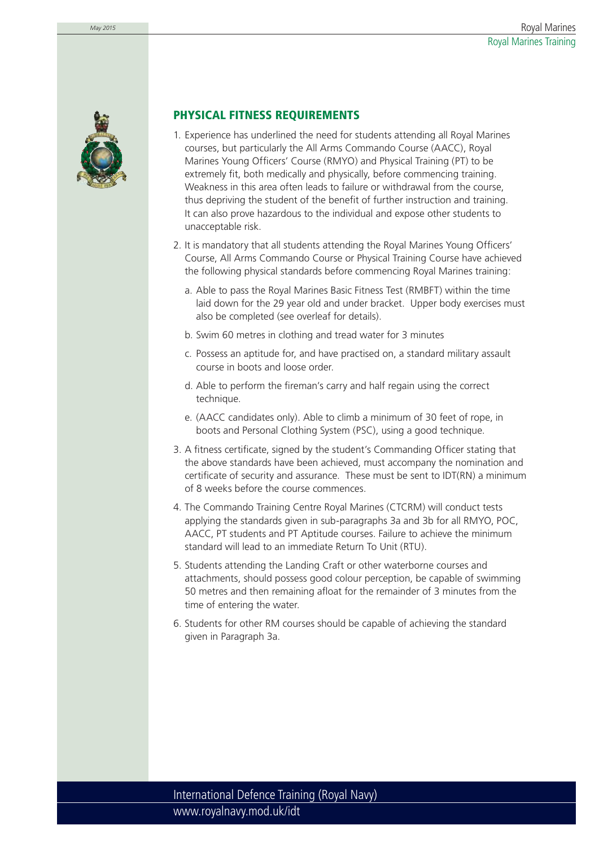



## **PHYSICAL FITNESS REQUIREMENTS**

- 1. Experience has underlined the need for students attending all Royal Marines courses, but particularly the All Arms Commando Course (AACC), Royal Marines Young Officers' Course (RMYO) and Physical Training (PT) to be extremely fit, both medically and physically, before commencing training. Weakness in this area often leads to failure or withdrawal from the course, thus depriving the student of the benefit of further instruction and training. It can also prove hazardous to the individual and expose other students to unacceptable risk.
- 2. It is mandatory that all students attending the Royal Marines Young Officers' Course, All Arms Commando Course or Physical Training Course have achieved the following physical standards before commencing Royal Marines training:
	- a. Able to pass the Royal Marines Basic Fitness Test (RMBFT) within the time laid down for the 29 year old and under bracket. Upper body exercises must also be completed (see overleaf for details).
	- b. Swim 60 metres in clothing and tread water for 3 minutes
	- c. Possess an aptitude for, and have practised on, a standard military assault course in boots and loose order.
	- d. Able to perform the fireman's carry and half regain using the correct technique.
	- e. (AACC candidates only). Able to climb a minimum of 30 feet of rope, in boots and Personal Clothing System (PSC), using a good technique.
- 3. A fitness certificate, signed by the student's Commanding Officer stating that the above standards have been achieved, must accompany the nomination and certificate of security and assurance. These must be sent to  $\text{IDT}(\text{RN})$  a minimum of 8 weeks before the course commences.
- 4. The Commando Training Centre Royal Marines (CTCRM) will conduct tests applying the standards given in sub-paragraphs 3a and 3b for all RMYO, POC, AACC, PT students and PT Aptitude courses. Failure to achieve the minimum standard will lead to an immediate Return To Unit (RTU).
- 5. Students attending the Landing Craft or other waterborne courses and attachments, should possess good colour perception, be capable of swimming 50 metres and then remaining afloat for the remainder of 3 minutes from the time of entering the water.
- 6. Students for other RM courses should be capable of achieving the standard given in Paragraph 3a.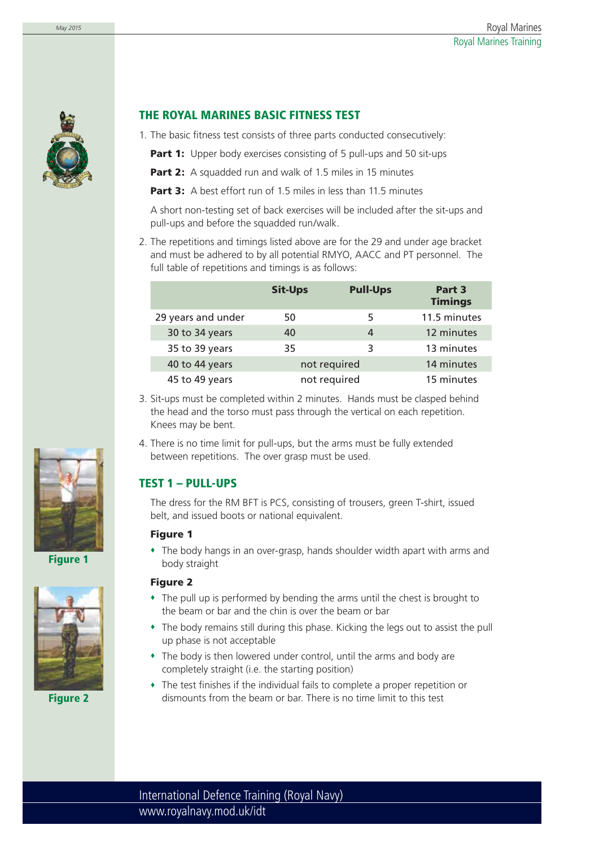

## **THE ROYAL MARINES BASIC FITNESS TEST**

- 1. The basic fitness test consists of three parts conducted consecutively:
	- **Part 1:** Upper body exercises consisting of 5 pull-ups and 50 sit-ups
	- **Part 2:** A squadded run and walk of 1.5 miles in 15 minutes
	- **Part 3:** A best effort run of 1.5 miles in less than 11.5 minutes

A short non-testing set of back exercises will be included after the sit-ups and pull-ups and before the squadded run/walk.

2. The repetitions and timings listed above are for the 29 and under age bracket and must be adhered to by all potential RMYO, AACC and PT personnel. The full table of repetitions and timings is as follows:

|                    | <b>Sit-Ups</b> | <b>Pull-Ups</b> | Part 3<br><b>Timings</b> |
|--------------------|----------------|-----------------|--------------------------|
| 29 years and under | 50             | 5               | 11.5 minutes             |
| 30 to 34 years     | 40             | 4               | 12 minutes               |
| 35 to 39 years     | 35             | 3               | 13 minutes               |
| 40 to 44 years     | not required   |                 | 14 minutes               |
| 45 to 49 years     | not required   |                 | 15 minutes               |

3. Sit-ups must be completed within 2 minutes. Hands must be clasped behind the head and the torso must pass through the vertical on each repetition. Knees may be bent.

4. There is no time limit for pull-ups, but the arms must be fully extended between repetitions. The over grasp must be used.

# **TEST 1 – PULL-UPS**

The dress for the RM BFT is PCS, consisting of trousers, green T-shirt, issued belt, and issued boots or national equivalent.

## **Figure 1**

 The body hangs in an over-grasp, hands shoulder width apart with arms and body straight

### **Figure 2**

- The pull up is performed by bending the arms until the chest is brought to the beam or bar and the chin is over the beam or bar
- The body remains still during this phase. Kicking the legs out to assist the pull up phase is not acceptable
- The body is then lowered under control, until the arms and body are completely straight (i.e. the starting position)
- The test finishes if the individual fails to complete a proper repetition or dismounts from the beam or bar. There is no time limit to this test





**Figure 2**